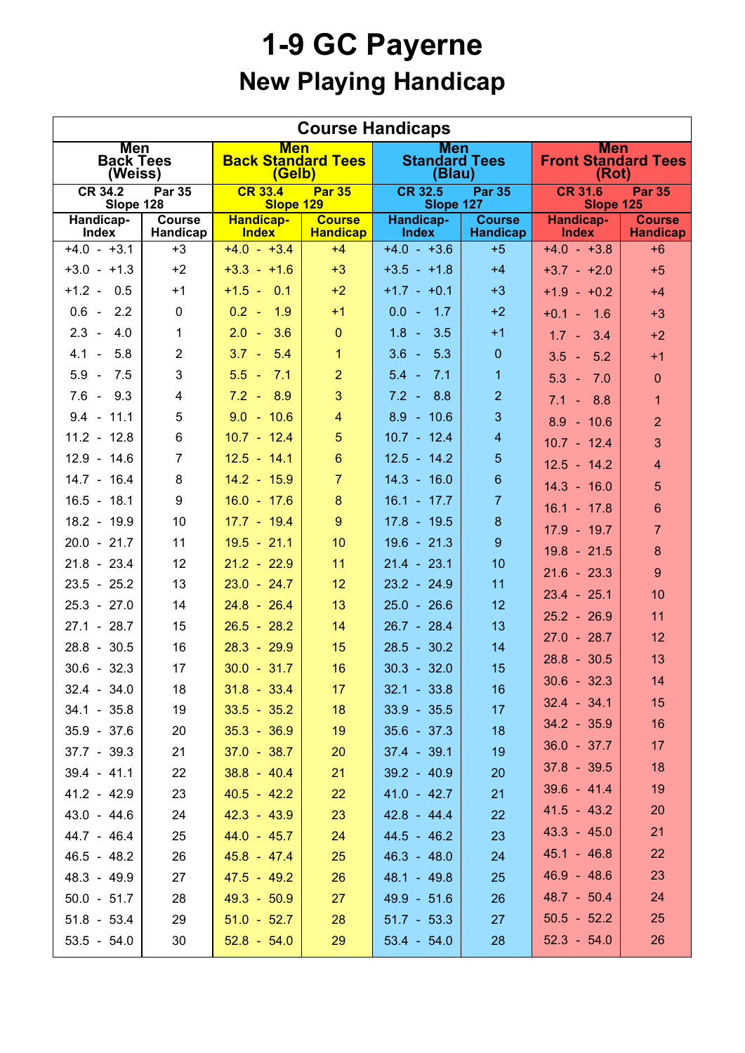## **1-9 GC Payerne New Playing Handicap**

| <b>Course Handicaps</b>                      |                           |                                                   |                                  |                                              |                                  |                                                     |                                  |  |  |  |  |
|----------------------------------------------|---------------------------|---------------------------------------------------|----------------------------------|----------------------------------------------|----------------------------------|-----------------------------------------------------|----------------------------------|--|--|--|--|
| <b>Men</b><br><b>Back Tees</b><br>(Weiss)    |                           | <b>Men</b><br><b>Back Standard Tees</b><br>(Gelb) |                                  | <b>Men</b><br><b>Standard Tees</b><br>(Blau) |                                  | <b>Men</b><br><b>Front Standard Tees</b><br>(Rot)   |                                  |  |  |  |  |
| <b>CR 34.2</b><br><b>Par 35</b><br>Slope 128 |                           | <b>CR 33.4</b><br><b>Par 35</b><br>Slope 129      |                                  | <b>CR 32.5</b><br><b>Par 35</b><br>Slope 127 |                                  | <b>CR 31.6</b><br><b>Par 35</b><br><b>Slope 125</b> |                                  |  |  |  |  |
| Handicap-<br><b>Index</b>                    | <b>Course</b><br>Handicap | <b>Handicap-</b><br><b>Index</b>                  | <b>Course</b><br><b>Handicap</b> | <b>Handicap-</b><br><b>Index</b>             | <b>Course</b><br><b>Handicap</b> | Handicap-<br><b>Index</b>                           | <b>Course</b><br><b>Handicap</b> |  |  |  |  |
| $+4.0 - +3.1$                                | $+3$                      | $+4.0 - +3.4$                                     | $+4$                             | $+4.0 - +3.6$                                | $+5$                             | $+4.0 - +3.8$                                       | $+6$                             |  |  |  |  |
| $+3.0 - +1.3$                                | $+2$                      | $+3.3 - +1.6$                                     | $+3$                             | $+3.5 - +1.8$                                | $+4$                             | $+3.7 - +2.0$                                       | $+5$                             |  |  |  |  |
| $+1.2 - 0.5$                                 | $+1$                      | $+1.5 - 0.1$                                      | $+2$                             | $+1.7 - +0.1$                                | $+3$                             | $+1.9 - +0.2$                                       | $+4$                             |  |  |  |  |
| $0.6 - 2.2$                                  | $\mathbf 0$               | $0.2 - 1.9$                                       | $+1$                             | $0.0 - 1.7$                                  | $+2$                             | $+0.1 - 1.6$                                        | $+3$                             |  |  |  |  |
| $2.3 -$<br>4.0                               | $\mathbf{1}$              | $2.0 - 3.6$                                       | $\overline{0}$                   | $1.8 - 3.5$                                  | $+1$                             | $1.7 - 3.4$                                         | $+2$                             |  |  |  |  |
| 5.8<br>$4.1 -$                               | $\overline{2}$            | $3.7 - 5.4$                                       | $\mathbf{1}$                     | $3.6 - 5.3$                                  | $\mathbf 0$                      | $3.5 - 5.2$                                         | $+1$                             |  |  |  |  |
| $5.9 - 7.5$                                  | 3                         | $5.5 - 7.1$                                       | $\overline{2}$                   | $5.4 - 7.1$                                  | 1                                | $5.3 - 7.0$                                         | $\mathbf{0}$                     |  |  |  |  |
| $7.6 - 9.3$                                  | 4                         | $7.2 - 8.9$                                       | 3                                | $7.2 - 8.8$                                  | $\overline{2}$                   | $7.1 - 8.8$                                         | $\overline{1}$                   |  |  |  |  |
| $9.4 - 11.1$                                 | 5                         | $9.0 - 10.6$                                      | $\overline{4}$                   | $8.9 - 10.6$                                 | 3                                | $8.9 - 10.6$                                        | $\overline{2}$                   |  |  |  |  |
| $11.2 - 12.8$                                | 6                         | $10.7 - 12.4$                                     | $5\phantom{.}$                   | $10.7 - 12.4$                                | $\overline{4}$                   | $10.7 - 12.4$                                       | 3                                |  |  |  |  |
| $12.9 - 14.6$                                | $\overline{7}$            | $12.5 - 14.1$                                     | $6\phantom{a}$                   | $12.5 - 14.2$                                | 5                                | $12.5 - 14.2$                                       | $\overline{4}$                   |  |  |  |  |
| $14.7 - 16.4$                                | 8                         | $14.2 - 15.9$                                     | $\overline{7}$                   | $14.3 - 16.0$                                | $\boldsymbol{6}$                 | $14.3 - 16.0$                                       | 5                                |  |  |  |  |
| $16.5 - 18.1$                                | 9                         | $16.0 - 17.6$                                     | 8                                | $16.1 - 17.7$                                | $\overline{7}$                   | $16.1 - 17.8$                                       | 6                                |  |  |  |  |
| 18.2 - 19.9                                  | 10                        | $17.7 - 19.4$                                     | 9                                | $17.8 - 19.5$                                | $\bf 8$                          | $17.9 - 19.7$                                       | $\overline{7}$                   |  |  |  |  |
| $20.0 - 21.7$                                | 11                        | $19.5 - 21.1$                                     | 10                               | $19.6 - 21.3$                                | $\boldsymbol{9}$                 | $19.8 - 21.5$                                       | 8                                |  |  |  |  |
| $21.8 - 23.4$                                | 12                        | $21.2 - 22.9$                                     | 11                               | $21.4 - 23.1$                                | 10                               | $21.6 - 23.3$                                       | 9                                |  |  |  |  |
| $23.5 - 25.2$                                | 13                        | $23.0 - 24.7$                                     | 12                               | $23.2 - 24.9$                                | 11                               | $23.4 - 25.1$                                       | 10                               |  |  |  |  |
| $25.3 - 27.0$                                | 14                        | $24.8 - 26.4$                                     | 13                               | $25.0 - 26.6$                                | 12                               | $25.2 - 26.9$                                       | 11                               |  |  |  |  |
| $27.1 - 28.7$                                | 15                        | $26.5 - 28.2$                                     | 14                               | $26.7 - 28.4$                                | 13                               | $27.0 - 28.7$                                       | 12                               |  |  |  |  |
| $28.8 - 30.5$                                | 16                        | $28.3 - 29.9$                                     | 15                               | $28.5 - 30.2$                                | 14                               | $28.8 - 30.5$                                       | 13                               |  |  |  |  |
| $30.6 - 32.3$                                | 17                        | $30.0 - 31.7$                                     | 16                               | $30.3 - 32.0$                                | 15                               | $30.6 - 32.3$                                       | 14                               |  |  |  |  |
| $32.4 - 34.0$                                | 18                        | $31.8 - 33.4$                                     | 17                               | $32.1 - 33.8$                                | 16                               | $32.4 - 34.1$                                       | 15                               |  |  |  |  |
| $34.1 - 35.8$                                | 19                        | $33.5 - 35.2$                                     | 18                               | $33.9 - 35.5$                                | 17                               | $34.2 - 35.9$                                       | 16                               |  |  |  |  |
| $35.9 - 37.6$                                | 20                        | $35.3 - 36.9$                                     | 19                               | $35.6 - 37.3$                                | 18                               | $36.0 - 37.7$                                       | 17 <sub>2</sub>                  |  |  |  |  |
| $37.7 - 39.3$                                | 21                        | $37.0 - 38.7$                                     | 20                               | $37.4 - 39.1$                                | 19                               | $37.8 - 39.5$                                       | 18                               |  |  |  |  |
| $39.4 - 41.1$                                | 22                        | $38.8 - 40.4$                                     | 21                               | $39.2 - 40.9$                                | 20                               | $39.6 - 41.4$                                       | 19                               |  |  |  |  |
| $41.2 - 42.9$<br>$43.0 - 44.6$               | 23<br>24                  | $40.5 - 42.2$<br>$42.3 - 43.9$                    | 22<br>23                         | $41.0 - 42.7$<br>$42.8 - 44.4$               | 21<br>22                         | $41.5 - 43.2$                                       | 20                               |  |  |  |  |
| 44.7 - 46.4                                  | 25                        | $44.0 - 45.7$                                     | 24                               | $44.5 - 46.2$                                | 23                               | $43.3 - 45.0$                                       | 21                               |  |  |  |  |
| $46.5 - 48.2$                                | 26                        | $45.8 - 47.4$                                     | 25                               | $46.3 - 48.0$                                | 24                               | $45.1 - 46.8$                                       | 22                               |  |  |  |  |
| 48.3 - 49.9                                  | 27                        | $47.5 - 49.2$                                     | 26                               | 48.1 - 49.8                                  | 25                               | $46.9 - 48.6$                                       | 23                               |  |  |  |  |
| $50.0 - 51.7$                                | 28                        | $49.3 - 50.9$                                     | 27                               | $49.9 - 51.6$                                | 26                               | $48.7 - 50.4$                                       | 24                               |  |  |  |  |
| $51.8 - 53.4$                                | 29                        | $51.0 - 52.7$                                     | 28                               | $51.7 - 53.3$                                | 27                               | $50.5 - 52.2$                                       | 25                               |  |  |  |  |
| $53.5 - 54.0$                                | 30                        | $52.8 - 54.0$                                     | 29                               | $53.4 - 54.0$                                | 28                               | $52.3 - 54.0$                                       | 26                               |  |  |  |  |
|                                              |                           |                                                   |                                  |                                              |                                  |                                                     |                                  |  |  |  |  |